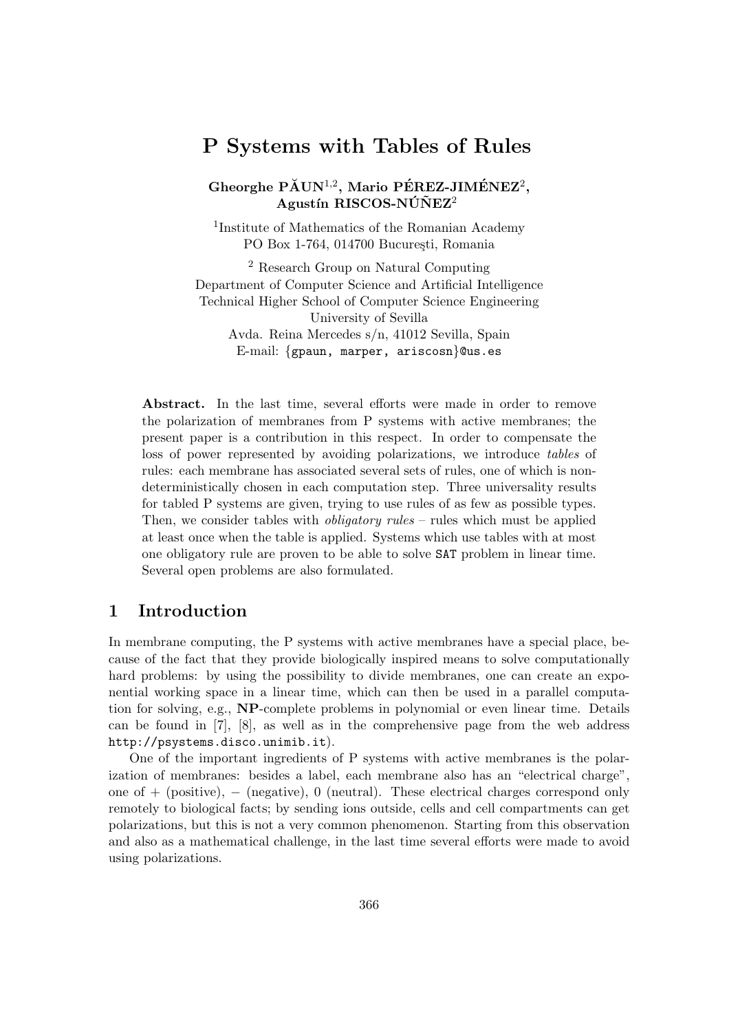# P Systems with Tables of Rules

### Gheorghe  $\tilde{PAUN}^{1,2}$ , Mario PÉREZ-JIMÉNEZ<sup>2</sup>, Agustín RISCOS-NÚ $N$ EZ<sup>2</sup>

<sup>1</sup>Institute of Mathematics of the Romanian Academy PO Box 1-764, 014700 București, Romania

<sup>2</sup> Research Group on Natural Computing Department of Computer Science and Artificial Intelligence Technical Higher School of Computer Science Engineering University of Sevilla Avda. Reina Mercedes s/n, 41012 Sevilla, Spain E-mail: {gpaun, marper, ariscosn}@us.es

Abstract. In the last time, several efforts were made in order to remove the polarization of membranes from P systems with active membranes; the present paper is a contribution in this respect. In order to compensate the loss of power represented by avoiding polarizations, we introduce tables of rules: each membrane has associated several sets of rules, one of which is nondeterministically chosen in each computation step. Three universality results for tabled P systems are given, trying to use rules of as few as possible types. Then, we consider tables with *obligatory rules* – rules which must be applied at least once when the table is applied. Systems which use tables with at most one obligatory rule are proven to be able to solve SAT problem in linear time. Several open problems are also formulated.

# 1 Introduction

In membrane computing, the P systems with active membranes have a special place, because of the fact that they provide biologically inspired means to solve computationally hard problems: by using the possibility to divide membranes, one can create an exponential working space in a linear time, which can then be used in a parallel computation for solving, e.g., NP-complete problems in polynomial or even linear time. Details can be found in [7], [8], as well as in the comprehensive page from the web address http://psystems.disco.unimib.it).

One of the important ingredients of P systems with active membranes is the polarization of membranes: besides a label, each membrane also has an "electrical charge", one of  $+$  (positive),  $-$  (negative), 0 (neutral). These electrical charges correspond only remotely to biological facts; by sending ions outside, cells and cell compartments can get polarizations, but this is not a very common phenomenon. Starting from this observation and also as a mathematical challenge, in the last time several efforts were made to avoid using polarizations.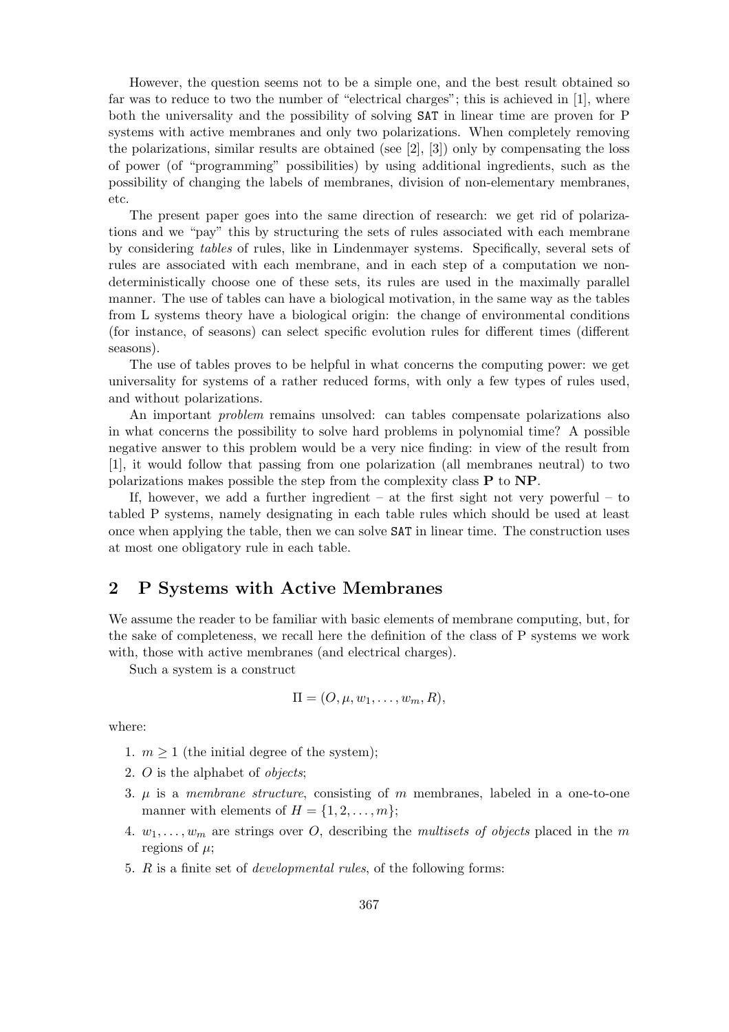However, the question seems not to be a simple one, and the best result obtained so far was to reduce to two the number of "electrical charges"; this is achieved in [1], where both the universality and the possibility of solving SAT in linear time are proven for P systems with active membranes and only two polarizations. When completely removing the polarizations, similar results are obtained (see  $[2]$ ,  $[3]$ ) only by compensating the loss of power (of "programming" possibilities) by using additional ingredients, such as the possibility of changing the labels of membranes, division of non-elementary membranes, etc.

The present paper goes into the same direction of research: we get rid of polarizations and we "pay" this by structuring the sets of rules associated with each membrane by considering tables of rules, like in Lindenmayer systems. Specifically, several sets of rules are associated with each membrane, and in each step of a computation we nondeterministically choose one of these sets, its rules are used in the maximally parallel manner. The use of tables can have a biological motivation, in the same way as the tables from L systems theory have a biological origin: the change of environmental conditions (for instance, of seasons) can select specific evolution rules for different times (different seasons).

The use of tables proves to be helpful in what concerns the computing power: we get universality for systems of a rather reduced forms, with only a few types of rules used, and without polarizations.

An important problem remains unsolved: can tables compensate polarizations also in what concerns the possibility to solve hard problems in polynomial time? A possible negative answer to this problem would be a very nice finding: in view of the result from [1], it would follow that passing from one polarization (all membranes neutral) to two polarizations makes possible the step from the complexity class P to NP.

If, however, we add a further ingredient – at the first sight not very powerful – to tabled P systems, namely designating in each table rules which should be used at least once when applying the table, then we can solve SAT in linear time. The construction uses at most one obligatory rule in each table.

# 2 P Systems with Active Membranes

We assume the reader to be familiar with basic elements of membrane computing, but, for the sake of completeness, we recall here the definition of the class of P systems we work with, those with active membranes (and electrical charges).

Such a system is a construct

$$
\Pi = (O, \mu, w_1, \ldots, w_m, R),
$$

where:

1.  $m > 1$  (the initial degree of the system);

- 2. O is the alphabet of objects;
- 3.  $\mu$  is a membrane structure, consisting of m membranes, labeled in a one-to-one manner with elements of  $H = \{1, 2, \ldots, m\};$
- 4.  $w_1, \ldots, w_m$  are strings over O, describing the multisets of objects placed in the m regions of  $\mu$ ;
- 5. R is a finite set of developmental rules, of the following forms: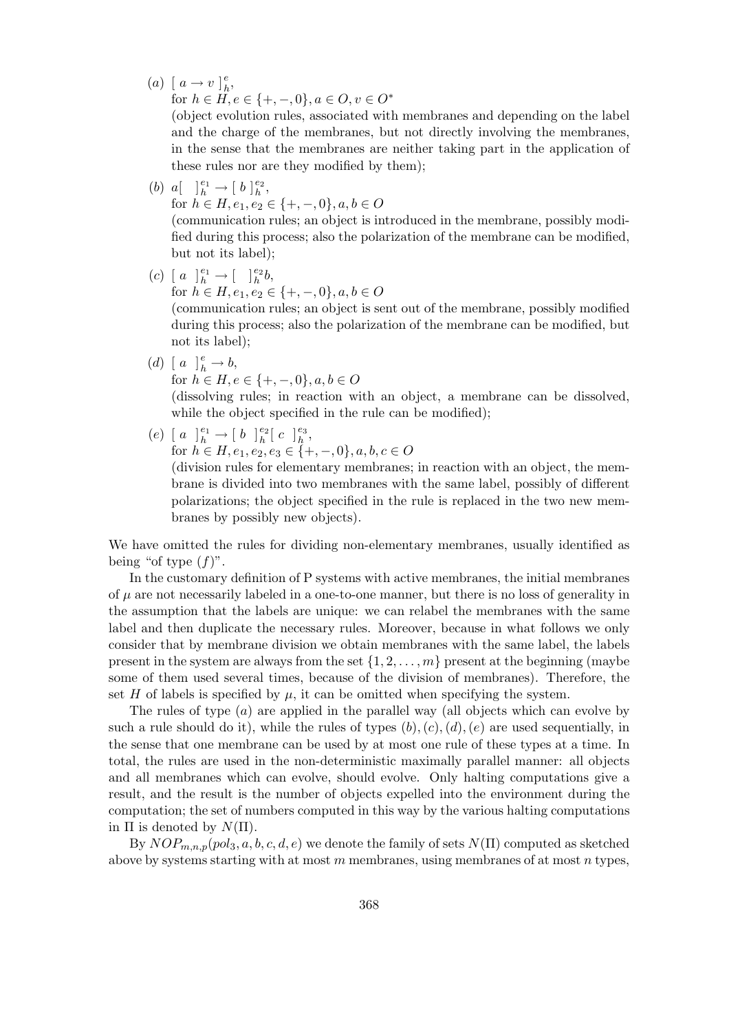$(a) \left[ a \rightarrow v \right]_b^e$  $_{h}^e,$ 

for  $h \in H, e \in \{+, -, 0\}, a \in O, v \in O^*$ 

(object evolution rules, associated with membranes and depending on the label and the charge of the membranes, but not directly involving the membranes, in the sense that the membranes are neither taking part in the application of these rules nor are they modified by them);

(b)  $a\begin{bmatrix} 0 \end{bmatrix} \begin{bmatrix} e_1 \\ h \end{bmatrix} \rightarrow \begin{bmatrix} b \end{bmatrix} \begin{bmatrix} e_2 \\ h \end{bmatrix}$  $_{h}^{e_{2}},$ 

for  $h \in H, e_1, e_2 \in \{+, -, 0\}, a, b \in O$ 

(communication rules; an object is introduced in the membrane, possibly modified during this process; also the polarization of the membrane can be modified, but not its label);

(c)  $[a]_h^{e_1} \rightarrow [a]_h^{e_2}b,$ for  $h \in H, e_1, e_2 \in \{+, -, 0\}, a, b \in O$ 

(communication rules; an object is sent out of the membrane, possibly modified during this process; also the polarization of the membrane can be modified, but not its label);

(d)  $[a]_h^e \rightarrow b$ ,

for  $h \in H, e \in \{+, -, 0\}, a, b \in O$ 

(dissolving rules; in reaction with an object, a membrane can be dissolved, while the object specified in the rule can be modified);

(e)  $[a]_h^{e_1} \rightarrow [b]_h^{e_2}$  $\frac{e_2}{h}$   $\left[ \begin{array}{cc} c & \end{array} \right]_h^{e_3}$  $_{h}^{e_{3}},$ 

for  $h \in H, e_1, e_2, e_3 \in \{+, -, 0\}, a, b, c \in O$ 

(division rules for elementary membranes; in reaction with an object, the membrane is divided into two membranes with the same label, possibly of different polarizations; the object specified in the rule is replaced in the two new membranes by possibly new objects).

We have omitted the rules for dividing non-elementary membranes, usually identified as being "of type  $(f)$ ".

In the customary definition of P systems with active membranes, the initial membranes of  $\mu$  are not necessarily labeled in a one-to-one manner, but there is no loss of generality in the assumption that the labels are unique: we can relabel the membranes with the same label and then duplicate the necessary rules. Moreover, because in what follows we only consider that by membrane division we obtain membranes with the same label, the labels present in the system are always from the set  $\{1, 2, \ldots, m\}$  present at the beginning (maybe some of them used several times, because of the division of membranes). Therefore, the set H of labels is specified by  $\mu$ , it can be omitted when specifying the system.

The rules of type (a) are applied in the parallel way (all objects which can evolve by such a rule should do it), while the rules of types  $(b), (c), (d), (e)$  are used sequentially, in the sense that one membrane can be used by at most one rule of these types at a time. In total, the rules are used in the non-deterministic maximally parallel manner: all objects and all membranes which can evolve, should evolve. Only halting computations give a result, and the result is the number of objects expelled into the environment during the computation; the set of numbers computed in this way by the various halting computations in  $\Pi$  is denoted by  $N(\Pi)$ .

By  $NOP_{m,n,p}(pol_3, a, b, c, d, e)$  we denote the family of sets  $N(\Pi)$  computed as sketched above by systems starting with at most  $m$  membranes, using membranes of at most  $n$  types,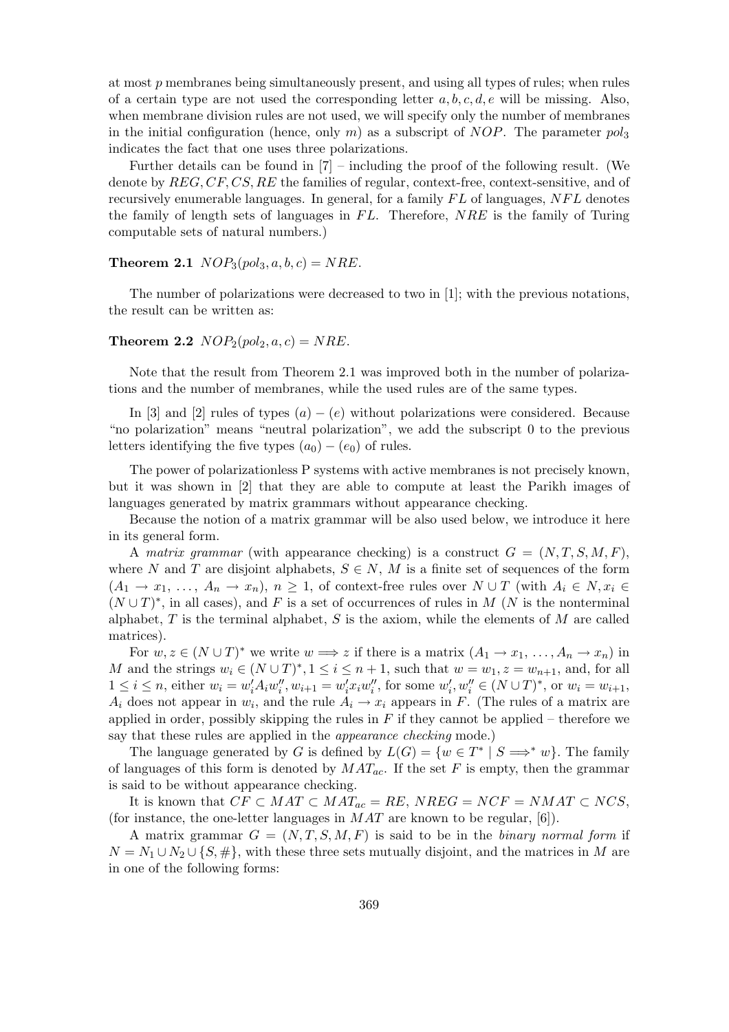at most p membranes being simultaneously present, and using all types of rules; when rules of a certain type are not used the corresponding letter  $a, b, c, d, e$  will be missing. Also, when membrane division rules are not used, we will specify only the number of membranes in the initial configuration (hence, only  $m$ ) as a subscript of NOP. The parameter  $pol_3$ indicates the fact that one uses three polarizations.

Further details can be found in [7] – including the proof of the following result. (We denote by REG, CF, CS, RE the families of regular, context-free, context-sensitive, and of recursively enumerable languages. In general, for a family  $FL$  of languages,  $NFL$  denotes the family of length sets of languages in  $FL$ . Therefore,  $NRE$  is the family of Turing computable sets of natural numbers.)

#### **Theorem 2.1**  $NOP_3(pol_3, a, b, c) = NRE$ .

The number of polarizations were decreased to two in [1]; with the previous notations, the result can be written as:

#### Theorem 2.2  $NOP_2(pol_2, a, c) = NRE$ .

Note that the result from Theorem 2.1 was improved both in the number of polarizations and the number of membranes, while the used rules are of the same types.

In [3] and [2] rules of types  $(a) - (e)$  without polarizations were considered. Because "no polarization" means "neutral polarization", we add the subscript 0 to the previous letters identifying the five types  $(a_0) - (e_0)$  of rules.

The power of polarizationless P systems with active membranes is not precisely known, but it was shown in [2] that they are able to compute at least the Parikh images of languages generated by matrix grammars without appearance checking.

Because the notion of a matrix grammar will be also used below, we introduce it here in its general form.

A matrix grammar (with appearance checking) is a construct  $G = (N, T, S, M, F)$ , where N and T are disjoint alphabets,  $S \in N$ , M is a finite set of sequences of the form  $(A_1 \rightarrow x_1, \ldots, A_n \rightarrow x_n), n \geq 1$ , of context-free rules over  $N \cup T$  (with  $A_i \in N, x_i \in$  $(N \cup T)^*$ , in all cases), and F is a set of occurrences of rules in M (N is the nonterminal alphabet,  $T$  is the terminal alphabet,  $S$  is the axiom, while the elements of  $M$  are called matrices).

For  $w, z \in (N \cup T)^*$  we write  $w \Longrightarrow z$  if there is a matrix  $(A_1 \rightarrow x_1, \ldots, A_n \rightarrow x_n)$  in M and the strings  $w_i \in (N \cup T)^*$ ,  $1 \le i \le n+1$ , such that  $w = w_1$ ,  $z = w_{n+1}$ , and, for all  $1 \leq i \leq n$ , either  $w_i = w'_i A_i w''_i, w_{i+1} = w'_i x_i w''_i$ , for some  $w'_i, w''_i \in (N \cup T)^*$ , or  $w_i = w_{i+1}$ ,  $A_i$  does not appear in  $w_i$ , and the rule  $A_i \to x_i$  appears in F. (The rules of a matrix are applied in order, possibly skipping the rules in  $F$  if they cannot be applied – therefore we say that these rules are applied in the appearance checking mode.)

The language generated by G is defined by  $L(G) = \{w \in T^* \mid S \implies^* w\}$ . The family of languages of this form is denoted by  $MAT_{ac}$ . If the set F is empty, then the grammar is said to be without appearance checking.

It is known that  $CF \subset MAT \subset MAT_{ac} = RE$ ,  $NREG = NCF = NMAT \subset NCS$ , (for instance, the one-letter languages in  $MAT$  are known to be regular, [6]).

A matrix grammar  $G = (N, T, S, M, F)$  is said to be in the *binary normal form* if  $N = N_1 \cup N_2 \cup \{S, \#\}$ , with these three sets mutually disjoint, and the matrices in M are in one of the following forms: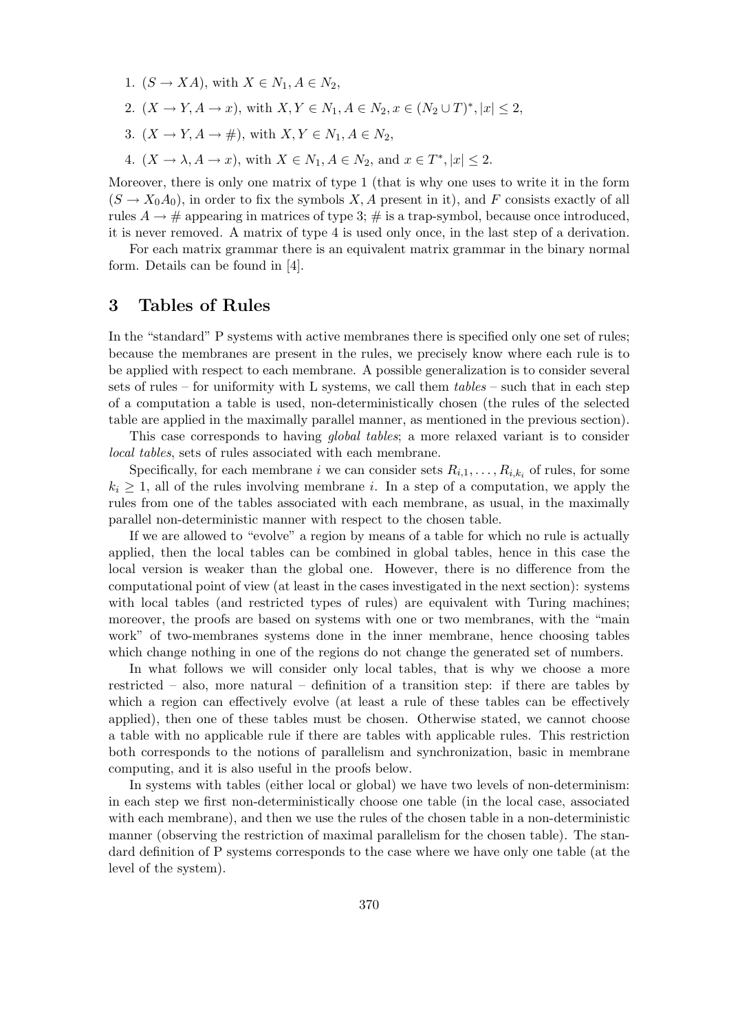- 1.  $(S \rightarrow XA)$ , with  $X \in N_1, A \in N_2$ ,
- 2.  $(X \to Y, A \to x)$ , with  $X, Y \in N_1, A \in N_2, x \in (N_2 \cup T)^*$ ,  $|x| \leq 2$ ,
- 3.  $(X \rightarrow Y, A \rightarrow \#)$ , with  $X, Y \in N_1, A \in N_2$ ,
- 4.  $(X \to \lambda, A \to x)$ , with  $X \in N_1, A \in N_2$ , and  $x \in T^*, |x| \leq 2$ .

Moreover, there is only one matrix of type 1 (that is why one uses to write it in the form  $(S \to X_0A_0)$ , in order to fix the symbols X, A present in it), and F consists exactly of all rules  $A \rightarrow \#$  appearing in matrices of type 3;  $\#$  is a trap-symbol, because once introduced, it is never removed. A matrix of type 4 is used only once, in the last step of a derivation.

For each matrix grammar there is an equivalent matrix grammar in the binary normal form. Details can be found in [4].

#### 3 Tables of Rules

In the "standard" P systems with active membranes there is specified only one set of rules; because the membranes are present in the rules, we precisely know where each rule is to be applied with respect to each membrane. A possible generalization is to consider several sets of rules – for uniformity with L systems, we call them  $tables$  – such that in each step of a computation a table is used, non-deterministically chosen (the rules of the selected table are applied in the maximally parallel manner, as mentioned in the previous section).

This case corresponds to having global tables; a more relaxed variant is to consider local tables, sets of rules associated with each membrane.

Specifically, for each membrane i we can consider sets  $R_{i,1}, \ldots, R_{i,k_i}$  of rules, for some  $k_i \geq 1$ , all of the rules involving membrane i. In a step of a computation, we apply the rules from one of the tables associated with each membrane, as usual, in the maximally parallel non-deterministic manner with respect to the chosen table.

If we are allowed to "evolve" a region by means of a table for which no rule is actually applied, then the local tables can be combined in global tables, hence in this case the local version is weaker than the global one. However, there is no difference from the computational point of view (at least in the cases investigated in the next section): systems with local tables (and restricted types of rules) are equivalent with Turing machines; moreover, the proofs are based on systems with one or two membranes, with the "main work" of two-membranes systems done in the inner membrane, hence choosing tables which change nothing in one of the regions do not change the generated set of numbers.

In what follows we will consider only local tables, that is why we choose a more restricted – also, more natural – definition of a transition step: if there are tables by which a region can effectively evolve (at least a rule of these tables can be effectively applied), then one of these tables must be chosen. Otherwise stated, we cannot choose a table with no applicable rule if there are tables with applicable rules. This restriction both corresponds to the notions of parallelism and synchronization, basic in membrane computing, and it is also useful in the proofs below.

In systems with tables (either local or global) we have two levels of non-determinism: in each step we first non-deterministically choose one table (in the local case, associated with each membrane), and then we use the rules of the chosen table in a non-deterministic manner (observing the restriction of maximal parallelism for the chosen table). The standard definition of P systems corresponds to the case where we have only one table (at the level of the system).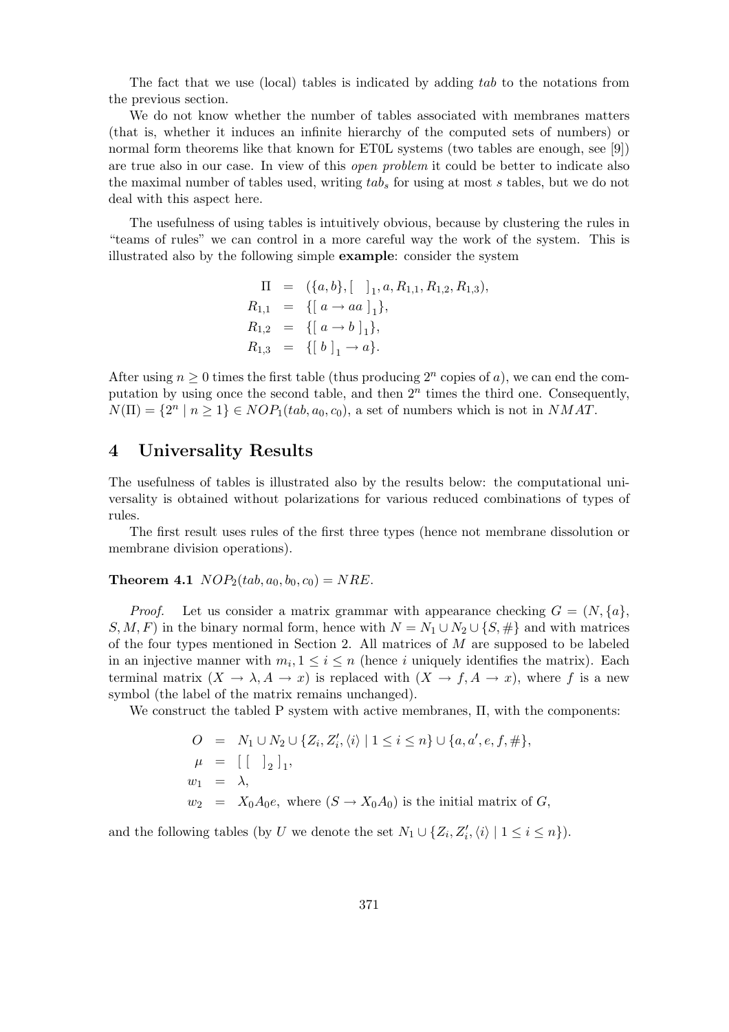The fact that we use (local) tables is indicated by adding tab to the notations from the previous section.

We do not know whether the number of tables associated with membranes matters (that is, whether it induces an infinite hierarchy of the computed sets of numbers) or normal form theorems like that known for ET0L systems (two tables are enough, see [9]) are true also in our case. In view of this open problem it could be better to indicate also the maximal number of tables used, writing  $tab_s$  for using at most s tables, but we do not deal with this aspect here.

The usefulness of using tables is intuitively obvious, because by clustering the rules in "teams of rules" we can control in a more careful way the work of the system. This is illustrated also by the following simple example: consider the system

$$
\Pi = (\{a, b\}, [ \quad ]_1, a, R_{1,1}, R_{1,2}, R_{1,3}),
$$
  
\n
$$
R_{1,1} = \{ [a \rightarrow aa]_1 \},
$$
  
\n
$$
R_{1,2} = \{ [a \rightarrow b]_1 \},
$$
  
\n
$$
R_{1,3} = \{ [b]_1 \rightarrow a \}.
$$

After using  $n \geq 0$  times the first table (thus producing  $2^n$  copies of a), we can end the computation by using once the second table, and then  $2<sup>n</sup>$  times the third one. Consequently,  $N(\Pi) = \{2^n \mid n \geq 1\} \in NOP_1(tab, a_0, c_0),$  a set of numbers which is not in  $NMAT$ .

### 4 Universality Results

The usefulness of tables is illustrated also by the results below: the computational universality is obtained without polarizations for various reduced combinations of types of rules.

The first result uses rules of the first three types (hence not membrane dissolution or membrane division operations).

#### **Theorem 4.1**  $NOP_2(tab, a_0, b_0, c_0) = NRE$ .

*Proof.* Let us consider a matrix grammar with appearance checking  $G = (N, \{a\})$ , S, M, F) in the binary normal form, hence with  $N = N_1 \cup N_2 \cup \{S, \#\}$  and with matrices of the four types mentioned in Section 2. All matrices of  $M$  are supposed to be labeled in an injective manner with  $m_i, 1 \leq i \leq n$  (hence i uniquely identifies the matrix). Each terminal matrix  $(X \to \lambda, A \to x)$  is replaced with  $(X \to f, A \to x)$ , where f is a new symbol (the label of the matrix remains unchanged).

We construct the tabled P system with active membranes, Π, with the components:

$$
O = N_1 \cup N_2 \cup \{Z_i, Z'_i, \langle i \rangle \mid 1 \le i \le n\} \cup \{a, a', e, f, \# \},
$$
  
\n
$$
\mu = [\begin{bmatrix} 1 \\ 2 \end{bmatrix}_1,
$$
  
\n
$$
w_1 = \lambda,
$$
  
\n
$$
w_2 = X_0 A_0 e, \text{ where } (S \to X_0 A_0) \text{ is the initial matrix of } G,
$$

and the following tables (by U we denote the set  $N_1 \cup \{Z_i, Z'_i, \langle i \rangle \mid 1 \leq i \leq n\}$ ).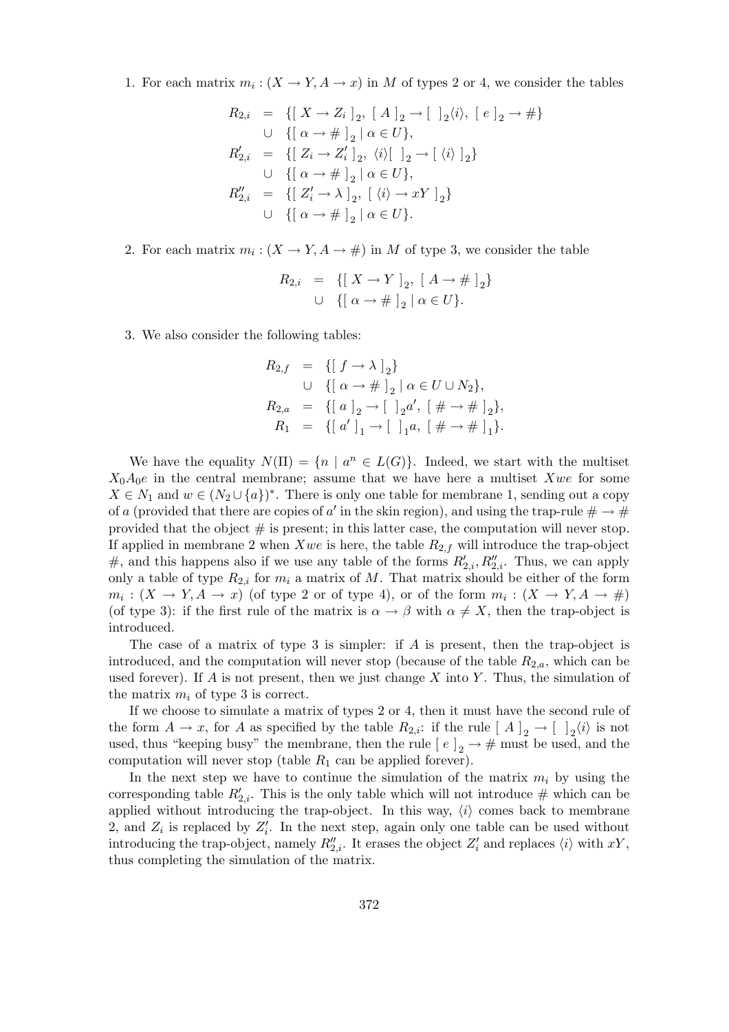1. For each matrix  $m_i : (X \to Y, A \to x)$  in M of types 2 or 4, we consider the tables

$$
R_{2,i} = \{ [ X \rightarrow Z_i ]_2, [ A ]_2 \rightarrow [ ]_2 \langle i \rangle, [ e ]_2 \rightarrow \# \}
$$
  
\n
$$
\cup \{ [ \alpha \rightarrow \# ]_2 | \alpha \in U \},
$$
  
\n
$$
R'_{2,i} = \{ [ Z_i \rightarrow Z'_i ]_2, \langle i \rangle [ ]_2 \rightarrow [ \langle i \rangle ]_2 \}
$$
  
\n
$$
\cup \{ [ \alpha \rightarrow \# ]_2 | \alpha \in U \},
$$
  
\n
$$
R''_{2,i} = \{ [ Z'_i \rightarrow \lambda ]_2, [ \langle i \rangle \rightarrow xY ]_2 \}
$$
  
\n
$$
\cup \{ [ \alpha \rightarrow \# ]_2 | \alpha \in U \}.
$$

2. For each matrix  $m_i : (X \to Y, A \to \#)$  in M of type 3, we consider the table

$$
R_{2,i} = \{ [X \to Y]_2, [A \to \#]_2 \}
$$
  

$$
\cup \{ [\alpha \to \#]_2 | \alpha \in U \}.
$$

3. We also consider the following tables:

$$
R_{2,f} = \{ [ f \to \lambda ]_2 \}
$$
  
\n
$$
\cup \{ [\alpha \to \# ]_2 | \alpha \in U \cup N_2 \},
$$
  
\n
$$
R_{2,a} = \{ [ a ]_2 \to [ ]_2 a', [ \# \to \# ]_2 \},
$$
  
\n
$$
R_1 = \{ [ a' ]_1 \to [ ]_1 a, [ \# \to \# ]_1 \}.
$$

We have the equality  $N(\Pi) = \{n \mid a^n \in L(G)\}\$ . Indeed, we start with the multiset  $X_0A_0e$  in the central membrane; assume that we have here a multiset Xwe for some  $X \in N_1$  and  $w \in (N_2 \cup \{a\})^*$ . There is only one table for membrane 1, sending out a copy of a (provided that there are copies of a' in the skin region), and using the trap-rule  $\# \to \#$ provided that the object  $\#$  is present; in this latter case, the computation will never stop. If applied in membrane 2 when Xwe is here, the table  $R_{2,f}$  will introduce the trap-object #, and this happens also if we use any table of the forms  $R'_{2,i}, R''_{2,i}$ . Thus, we can apply only a table of type  $R_{2,i}$  for  $m_i$  a matrix of M. That matrix should be either of the form  $m_i: (X \to Y, A \to x)$  (of type 2 or of type 4), or of the form  $m_i: (X \to Y, A \to \#)$ (of type 3): if the first rule of the matrix is  $\alpha \to \beta$  with  $\alpha \neq X$ , then the trap-object is introduced.

The case of a matrix of type 3 is simpler: if A is present, then the trap-object is introduced, and the computation will never stop (because of the table  $R_{2,a}$ , which can be used forever). If A is not present, then we just change  $X$  into  $Y$ . Thus, the simulation of the matrix  $m_i$  of type 3 is correct.

If we choose to simulate a matrix of types 2 or 4, then it must have the second rule of the form  $A \to x$ , for A as specified by the table  $R_{2,i}$ : if the rule  $[A]_2 \to [ ]_2 \langle i \rangle$  is not used, thus "keeping busy" the membrane, then the rule  $[e]_2 \rightarrow \#$  must be used, and the computation will never stop (table  $R_1$  can be applied forever).

In the next step we have to continue the simulation of the matrix  $m_i$  by using the corresponding table  $R'_{2,i}$ . This is the only table which will not introduce  $\#$  which can be applied without introducing the trap-object. In this way,  $\langle i \rangle$  comes back to membrane 2, and  $Z_i$  is replaced by  $Z'_i$ . In the next step, again only one table can be used without introducing the trap-object, namely  $R_{2,i}''$ . It erases the object  $Z_i'$  and replaces  $\langle i \rangle$  with  $xY$ , thus completing the simulation of the matrix.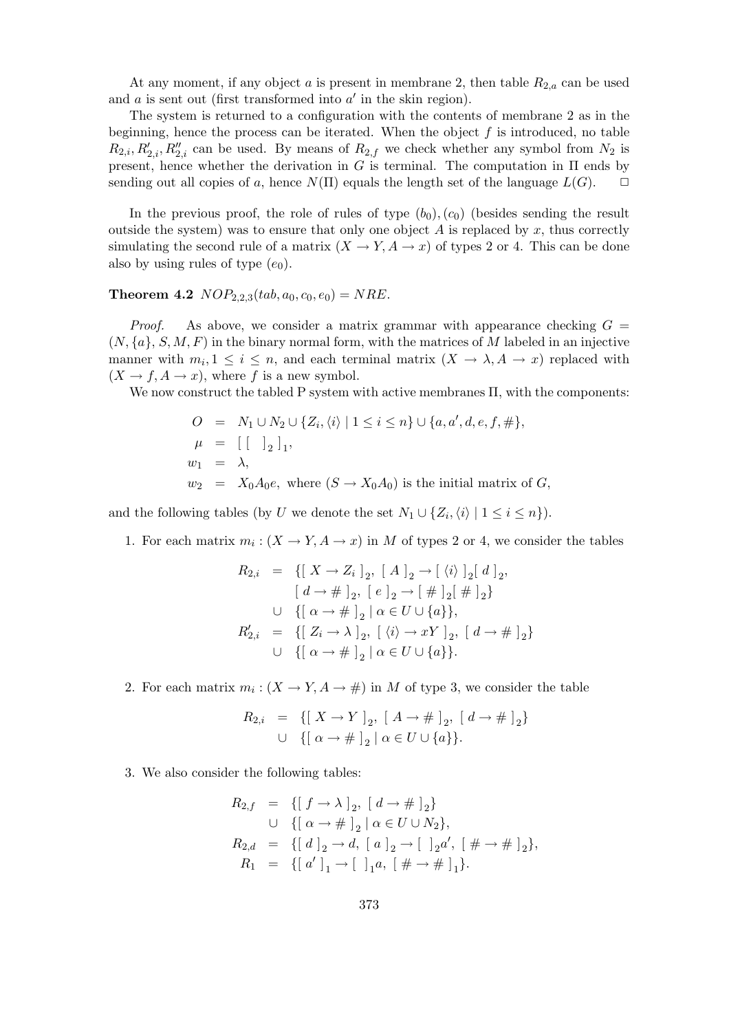At any moment, if any object a is present in membrane 2, then table  $R_{2,a}$  can be used and  $a$  is sent out (first transformed into  $a'$  in the skin region).

The system is returned to a configuration with the contents of membrane 2 as in the beginning, hence the process can be iterated. When the object  $f$  is introduced, no table  $R_{2,i}, R'_{2,i}, R''_{2,i}$  can be used. By means of  $R_{2,f}$  we check whether any symbol from  $N_2$  is present, hence whether the derivation in G is terminal. The computation in  $\Pi$  ends by sending out all copies of a, hence  $N(\Pi)$  equals the length set of the language  $L(G)$ .  $\Box$ 

In the previous proof, the role of rules of type  $(b_0), (c_0)$  (besides sending the result outside the system) was to ensure that only one object  $A$  is replaced by  $x$ , thus correctly simulating the second rule of a matrix  $(X \to Y, A \to x)$  of types 2 or 4. This can be done also by using rules of type  $(e_0)$ .

#### **Theorem 4.2**  $NOP_{2,2,3}(tab, a_0, c_0, e_0) = NRE$ .

*Proof.* As above, we consider a matrix grammar with appearance checking  $G =$  $(N, \{a\}, S, M, F)$  in the binary normal form, with the matrices of M labeled in an injective manner with  $m_i, 1 \leq i \leq n$ , and each terminal matrix  $(X \to \lambda, A \to x)$  replaced with  $(X \to f, A \to x)$ , where f is a new symbol.

We now construct the tabled P system with active membranes Π, with the components:

$$
O = N_1 \cup N_2 \cup \{Z_i, \langle i \rangle \mid 1 \le i \le n\} \cup \{a, a', d, e, f, \# \},
$$
  
\n
$$
\mu = [\begin{bmatrix} 1 \\ 2 \end{bmatrix}_1,
$$
  
\n
$$
w_1 = \lambda,
$$
  
\n
$$
w_2 = X_0 A_0 e, \text{ where } (S \to X_0 A_0) \text{ is the initial matrix of } G,
$$

and the following tables (by U we denote the set  $N_1 \cup \{Z_i, \langle i \rangle \mid 1 \leq i \leq n\}$ ).

1. For each matrix  $m_i : (X \to Y, A \to x)$  in M of types 2 or 4, we consider the tables

$$
R_{2,i} = \{ [X \to Z_i]_2, [A]_2 \to [\langle i \rangle]_2 [d]_2, [d \to \#]_2, [e]_2 \to [\#]_2 [\#]_2 \}
$$
  

$$
\cup \{ [\alpha \to \#]_2 | \alpha \in U \cup \{a\} \}, R'_{2,i} = \{ [Z_i \to \lambda]_2, [\langle i \rangle \to xY]_2, [d \to \#]_2 \}
$$
  

$$
\cup \{ [\alpha \to \#]_2 | \alpha \in U \cup \{a\} \}.
$$

2. For each matrix  $m_i : (X \to Y, A \to \#)$  in M of type 3, we consider the table

$$
R_{2,i} = \{ [X \to Y]_2, [A \to \#]_2, [d \to \#]_2 \}
$$
  

$$
\cup \{ [\alpha \to \#]_2 | \alpha \in U \cup \{a\} \}.
$$

3. We also consider the following tables:

$$
R_{2,f} = \{ [ f \to \lambda ]_2, [ d \to \# ]_2 \}
$$
  
\n
$$
\cup \{ [ \alpha \to \# ]_2 | \alpha \in U \cup N_2 \},
$$
  
\n
$$
R_{2,d} = \{ [ d ]_2 \to d, [ a ]_2 \to [ ]_2 a', [ \# \to \# ]_2 \},
$$
  
\n
$$
R_1 = \{ [ a' ]_1 \to [ ]_1 a, [ \# \to \# ]_1 \}.
$$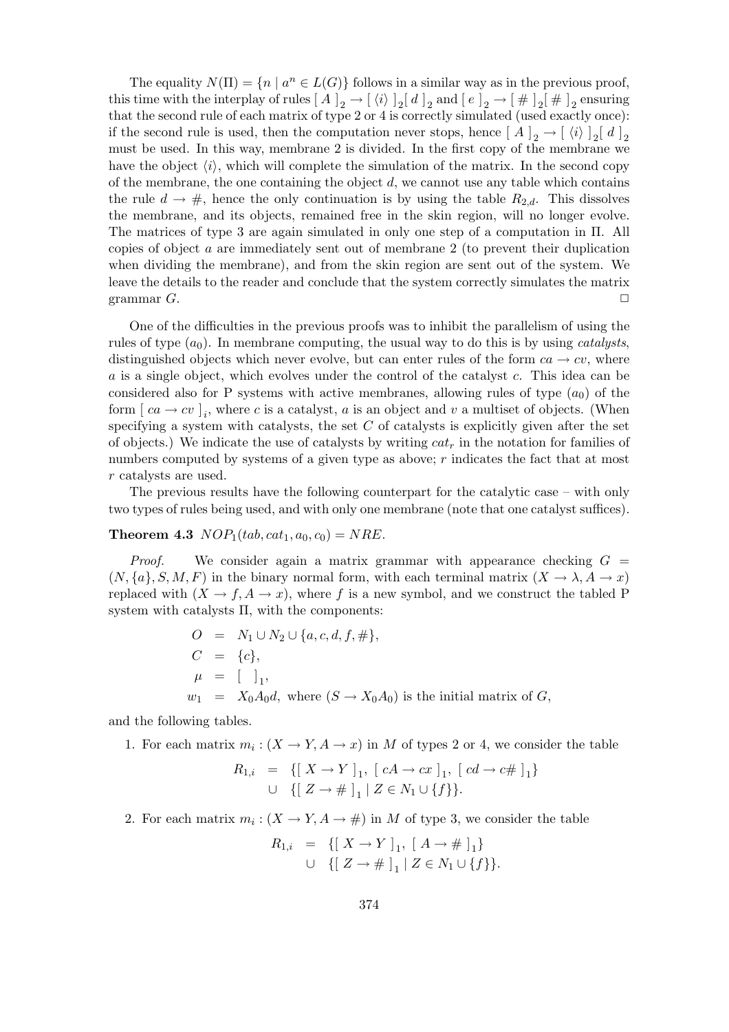The equality  $N(\Pi) = \{n \mid a^n \in L(G)\}\$  follows in a similar way as in the previous proof, this time with the interplay of rules  $[A]_2 \rightarrow [\langle i \rangle]_2 [d]_2$  and  $[\ e]_2 \rightarrow [\#]_2 [\#]_2$  ensuring that the second rule of each matrix of type 2 or 4 is correctly simulated (used exactly once): if the second rule is used, then the computation never stops, hence  $[A]_2 \rightarrow [ \langle i \rangle ]_2 [ d]_2$ must be used. In this way, membrane 2 is divided. In the first copy of the membrane we have the object  $\langle i \rangle$ , which will complete the simulation of the matrix. In the second copy of the membrane, the one containing the object  $d$ , we cannot use any table which contains the rule  $d \to \#$ , hence the only continuation is by using the table  $R_{2,d}$ . This dissolves the membrane, and its objects, remained free in the skin region, will no longer evolve. The matrices of type 3 are again simulated in only one step of a computation in Π. All copies of object a are immediately sent out of membrane 2 (to prevent their duplication when dividing the membrane), and from the skin region are sent out of the system. We leave the details to the reader and conclude that the system correctly simulates the matrix grammar  $G$ .

One of the difficulties in the previous proofs was to inhibit the parallelism of using the rules of type  $(a_0)$ . In membrane computing, the usual way to do this is by using *catalysts*, distinguished objects which never evolve, but can enter rules of the form  $ca \rightarrow cv$ , where a is a single object, which evolves under the control of the catalyst c. This idea can be considered also for P systems with active membranes, allowing rules of type  $(a_0)$  of the form  $[a \rightarrow cv]_i$ , where c is a catalyst, a is an object and v a multiset of objects. (When specifying a system with catalysts, the set  $C$  of catalysts is explicitly given after the set of objects.) We indicate the use of catalysts by writing  $cat_r$  in the notation for families of numbers computed by systems of a given type as above; r indicates the fact that at most r catalysts are used.

The previous results have the following counterpart for the catalytic case – with only two types of rules being used, and with only one membrane (note that one catalyst suffices).

#### **Theorem 4.3**  $NOP_1(tab, cat_1, a_0, c_0) = NRE$ .

*Proof.* We consider again a matrix grammar with appearance checking  $G =$  $(N, \{a\}, S, M, F)$  in the binary normal form, with each terminal matrix  $(X \to \lambda, A \to x)$ replaced with  $(X \to f, A \to x)$ , where f is a new symbol, and we construct the tabled P system with catalysts Π, with the components:

$$
O = N_1 \cup N_2 \cup \{a, c, d, f, \# \},
$$
  
\n
$$
C = \{c\},
$$
  
\n
$$
\mu = [\ ]_1,
$$
  
\n
$$
w_1 = X_0 A_0 d, \text{ where } (S \to X_0 A_0) \text{ is the initial matrix of } G,
$$

and the following tables.

1. For each matrix  $m_i : (X \to Y, A \to x)$  in M of types 2 or 4, we consider the table

$$
R_{1,i} = \{ [X \to Y]_1, [cA \to cx]_1, [cd \to c\#]_1 \}
$$
  

$$
\cup \{ [Z \to \#]_1 | Z \in N_1 \cup \{f\} \}.
$$

2. For each matrix  $m_i : (X \to Y, A \to \#)$  in M of type 3, we consider the table

$$
R_{1,i} = \{ [X \to Y]_1, [A \to \#]_1 \}
$$
  

$$
\cup \{ [Z \to \#]_1 | Z \in N_1 \cup \{f\} \}.
$$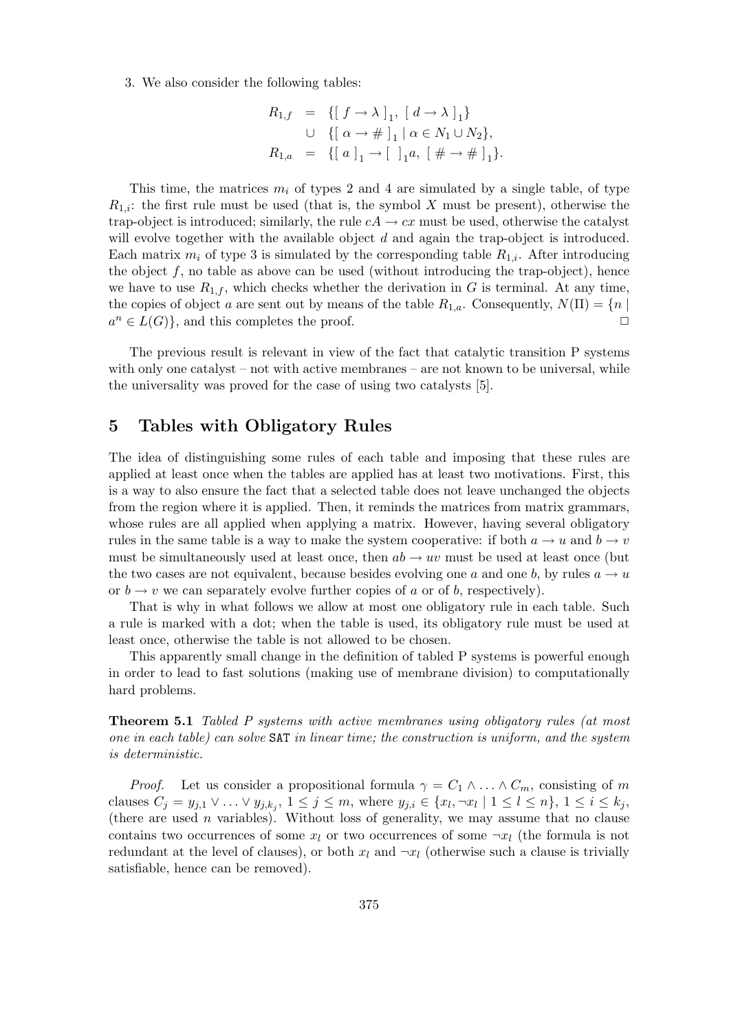3. We also consider the following tables:

$$
R_{1,f} = \{ [ f \to \lambda ]_1, [ d \to \lambda ]_1 \}
$$
  
\n
$$
\cup \{ [ \alpha \to \# ]_1 | \alpha \in N_1 \cup N_2 \},
$$
  
\n
$$
R_{1,a} = \{ [ a ]_1 \to [ ]_1 a, [ \# \to \# ]_1 \}.
$$

This time, the matrices  $m_i$  of types 2 and 4 are simulated by a single table, of type  $R_{1,i}$ : the first rule must be used (that is, the symbol X must be present), otherwise the trap-object is introduced; similarly, the rule  $cA \rightarrow cx$  must be used, otherwise the catalyst will evolve together with the available object  $d$  and again the trap-object is introduced. Each matrix  $m_i$  of type 3 is simulated by the corresponding table  $R_{1,i}$ . After introducing the object  $f$ , no table as above can be used (without introducing the trap-object), hence we have to use  $R_{1,f}$ , which checks whether the derivation in G is terminal. At any time, the copies of object a are sent out by means of the table  $R_{1,a}$ . Consequently,  $N(\Pi) = \{n \mid$  $a^n \in L(G)$ , and this completes the proof.  $\square$ 

The previous result is relevant in view of the fact that catalytic transition P systems with only one catalyst – not with active membranes – are not known to be universal, while the universality was proved for the case of using two catalysts [5].

### 5 Tables with Obligatory Rules

The idea of distinguishing some rules of each table and imposing that these rules are applied at least once when the tables are applied has at least two motivations. First, this is a way to also ensure the fact that a selected table does not leave unchanged the objects from the region where it is applied. Then, it reminds the matrices from matrix grammars, whose rules are all applied when applying a matrix. However, having several obligatory rules in the same table is a way to make the system cooperative: if both  $a \rightarrow u$  and  $b \rightarrow v$ must be simultaneously used at least once, then  $ab \rightarrow uv$  must be used at least once (but the two cases are not equivalent, because besides evolving one a and one b, by rules  $a \rightarrow u$ or  $b \to v$  we can separately evolve further copies of a or of b, respectively).

That is why in what follows we allow at most one obligatory rule in each table. Such a rule is marked with a dot; when the table is used, its obligatory rule must be used at least once, otherwise the table is not allowed to be chosen.

This apparently small change in the definition of tabled P systems is powerful enough in order to lead to fast solutions (making use of membrane division) to computationally hard problems.

Theorem 5.1 Tabled P systems with active membranes using obligatory rules (at most one in each table) can solve SAT in linear time; the construction is uniform, and the system is deterministic.

*Proof.* Let us consider a propositional formula  $\gamma = C_1 \wedge \ldots \wedge C_m$ , consisting of m clauses  $C_j = y_{j,1} \vee ... \vee y_{j,k_j}, 1 \leq j \leq m$ , where  $y_{j,i} \in \{x_l, \neg x_l \mid 1 \leq l \leq n\}, 1 \leq i \leq k_j$ , (there are used  $n$  variables). Without loss of generality, we may assume that no clause contains two occurrences of some  $x_l$  or two occurrences of some  $\neg x_l$  (the formula is not redundant at the level of clauses), or both  $x_l$  and  $\neg x_l$  (otherwise such a clause is trivially satisfiable, hence can be removed).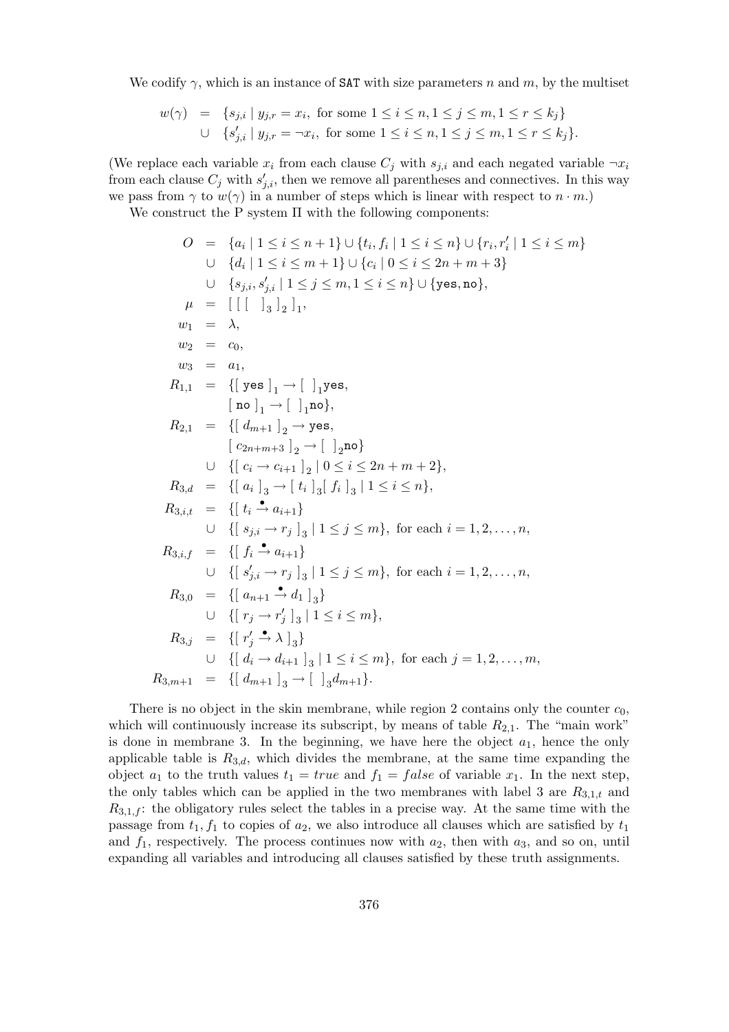We codify  $\gamma$ , which is an instance of SAT with size parameters n and m, by the multiset

$$
w(\gamma) = \{s_{j,i} \mid y_{j,r} = x_i, \text{ for some } 1 \le i \le n, 1 \le j \le m, 1 \le r \le k_j\}
$$
  
 
$$
\cup \{s'_{j,i} \mid y_{j,r} = \neg x_i, \text{ for some } 1 \le i \le n, 1 \le j \le m, 1 \le r \le k_j\}.
$$

(We replace each variable  $x_i$  from each clause  $C_j$  with  $s_{j,i}$  and each negated variable  $\neg x_i$ from each clause  $C_j$  with  $s'_{j,i}$ , then we remove all parentheses and connectives. In this way we pass from  $\gamma$  to  $w(\gamma)$  in a number of steps which is linear with respect to  $n \cdot m$ .)

We construct the P system Π with the following components:

$$
O = \{a_i | 1 \le i \le n+1\} \cup \{t_i, f_i | 1 \le i \le n\} \cup \{r_i, r'_i | 1 \le i \le m\}
$$
  
\n
$$
\cup \{d_i | 1 \le i \le m+1\} \cup \{c_i | 0 \le i \le 2n+m+3\}
$$
  
\n
$$
\cup \{s_{j,i}, s'_{j,i} | 1 \le j \le m, 1 \le i \le n\} \cup \{\text{yes, no}\},
$$
  
\n
$$
\mu = [[[ ]_3 ]_2 ],
$$
  
\n
$$
w_1 = \lambda,
$$
  
\n
$$
w_2 = c_0,
$$
  
\n
$$
w_3 = a_1,
$$
  
\n
$$
R_{1,1} = \{ [\text{yes } ]_1 \rightarrow [ ]_1 \text{yes}},
$$
  
\n
$$
[ n_0 ]_1 \rightarrow [ ]_1 \text{no} \},
$$
  
\n
$$
R_{2,1} = \{ [d_{m+1} ]_2 \rightarrow \text{yes},
$$
  
\n
$$
[ c_{2n+m+3} ]_2 \rightarrow [ ]_2 \text{no} \}
$$
  
\n
$$
\cup \{ [ c_i \rightarrow c_{i+1} ]_2 | 0 \le i \le 2n+m+2 \},
$$
  
\n
$$
R_{3,d} = \{ [ a_i ]_3 \rightarrow [ t_i ]_3 [ f_i ]_3 | 1 \le i \le n \},
$$
  
\n
$$
R_{3,i,t} = \{ [ t_i \stackrel{*}{\rightarrow} a_{i+1} \}
$$
  
\n
$$
\cup \{ [ s_{j,i} \rightarrow r_j ]_3 | 1 \le j \le m \}, \text{ for each } i = 1, 2, ..., n,
$$
  
\n
$$
R_{3,0} = \{ [ a_{n+1} \stackrel{*}{\rightarrow} a_{i+1} \}
$$
  
\n
$$
\cup \{ [ s'_{j,i} \rightarrow r_j ]_3 | 1 \le j \le m \}, \text{ for each } i = 1, 2, ..., n,
$$
  
\n
$$
R_{3,0} = \{ [ a_{n+1} \stackrel{*}{\rightarrow} d_1 ]_3 \}
$$
  
\n
$$
\cup \{ [ r_j \rightarrow r'_j ]_3 | 1 \le i \le m
$$

There is no object in the skin membrane, while region 2 contains only the counter  $c_0$ , which will continuously increase its subscript, by means of table  $R_{2,1}$ . The "main work" is done in membrane 3. In the beginning, we have here the object  $a_1$ , hence the only applicable table is  $R_{3,d}$ , which divides the membrane, at the same time expanding the object  $a_1$  to the truth values  $t_1 = true$  and  $f_1 = false$  of variable  $x_1$ . In the next step, the only tables which can be applied in the two membranes with label 3 are  $R_{3,1,t}$  and  $R_{3,1,f}$ : the obligatory rules select the tables in a precise way. At the same time with the passage from  $t_1$ ,  $f_1$  to copies of  $a_2$ , we also introduce all clauses which are satisfied by  $t_1$ and  $f_1$ , respectively. The process continues now with  $a_2$ , then with  $a_3$ , and so on, until expanding all variables and introducing all clauses satisfied by these truth assignments.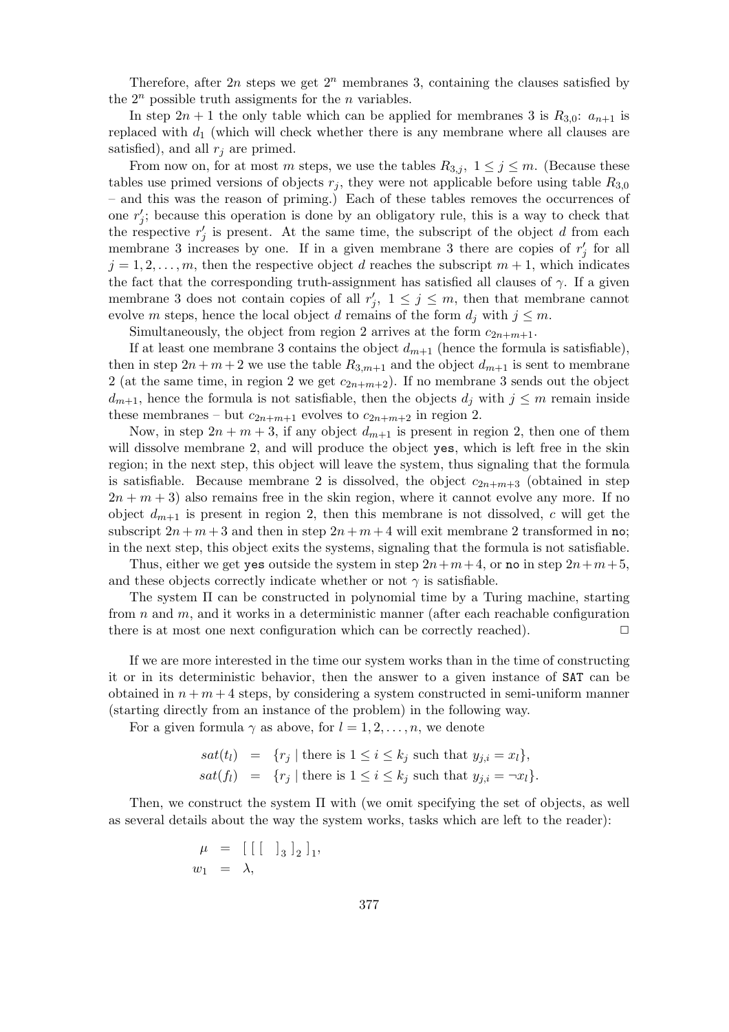Therefore, after  $2n$  steps we get  $2^n$  membranes 3, containing the clauses satisfied by the  $2^n$  possible truth assigments for the *n* variables.

In step  $2n + 1$  the only table which can be applied for membranes 3 is  $R_{3,0}$ :  $a_{n+1}$  is replaced with  $d_1$  (which will check whether there is any membrane where all clauses are satisfied), and all  $r_i$  are primed.

From now on, for at most m steps, we use the tables  $R_{3,j}$ ,  $1 \leq j \leq m$ . (Because these tables use primed versions of objects  $r_i$ , they were not applicable before using table  $R_{3,0}$ – and this was the reason of priming.) Each of these tables removes the occurrences of one  $r'_j$ ; because this operation is done by an obligatory rule, this is a way to check that the respective  $r'_j$  is present. At the same time, the subscript of the object d from each membrane 3 increases by one. If in a given membrane 3 there are copies of  $r'_j$  for all  $j = 1, 2, \ldots, m$ , then the respective object d reaches the subscript  $m + 1$ , which indicates the fact that the corresponding truth-assignment has satisfied all clauses of  $\gamma$ . If a given membrane 3 does not contain copies of all  $r'_j$ ,  $1 \leq j \leq m$ , then that membrane cannot evolve m steps, hence the local object d remains of the form  $d_i$  with  $j \leq m$ .

Simultaneously, the object from region 2 arrives at the form  $c_{2n+m+1}$ .

If at least one membrane 3 contains the object  $d_{m+1}$  (hence the formula is satisfiable), then in step  $2n + m + 2$  we use the table  $R_{3,m+1}$  and the object  $d_{m+1}$  is sent to membrane 2 (at the same time, in region 2 we get  $c_{2n+m+2}$ ). If no membrane 3 sends out the object  $d_{m+1}$ , hence the formula is not satisfiable, then the objects  $d_i$  with  $j \leq m$  remain inside these membranes – but  $c_{2n+m+1}$  evolves to  $c_{2n+m+2}$  in region 2.

Now, in step  $2n + m + 3$ , if any object  $d_{m+1}$  is present in region 2, then one of them will dissolve membrane 2, and will produce the object yes, which is left free in the skin region; in the next step, this object will leave the system, thus signaling that the formula is satisfiable. Because membrane 2 is dissolved, the object  $c_{2n+m+3}$  (obtained in step  $2n + m + 3$ ) also remains free in the skin region, where it cannot evolve any more. If no object  $d_{m+1}$  is present in region 2, then this membrane is not dissolved, c will get the subscript  $2n + m + 3$  and then in step  $2n + m + 4$  will exit membrane 2 transformed in no; in the next step, this object exits the systems, signaling that the formula is not satisfiable.

Thus, either we get yes outside the system in step  $2n+m+4$ , or no in step  $2n+m+5$ , and these objects correctly indicate whether or not  $\gamma$  is satisfiable.

The system Π can be constructed in polynomial time by a Turing machine, starting from  $n$  and  $m$ , and it works in a deterministic manner (after each reachable configuration there is at most one next configuration which can be correctly reached).  $\Box$ 

If we are more interested in the time our system works than in the time of constructing it or in its deterministic behavior, then the answer to a given instance of SAT can be obtained in  $n + m + 4$  steps, by considering a system constructed in semi-uniform manner (starting directly from an instance of the problem) in the following way.

For a given formula  $\gamma$  as above, for  $l = 1, 2, \ldots, n$ , we denote

$$
sat(t_l) = \{r_j \mid \text{there is } 1 \le i \le k_j \text{ such that } y_{j,i} = x_l\},
$$
  

$$
sat(f_l) = \{r_j \mid \text{there is } 1 \le i \le k_j \text{ such that } y_{j,i} = \neg x_l\}.
$$

Then, we construct the system Π with (we omit specifying the set of objects, as well as several details about the way the system works, tasks which are left to the reader):

$$
\begin{array}{rcl}\n\mu & = & \left[ \begin{array}{cc} \left[ \begin{array}{cc} 1 & 0 \\ 0 & 0 \end{array} \right] \right]_{2} \end{array} \right]_{1}, \\
w_{1} & = & \lambda,\n\end{array}
$$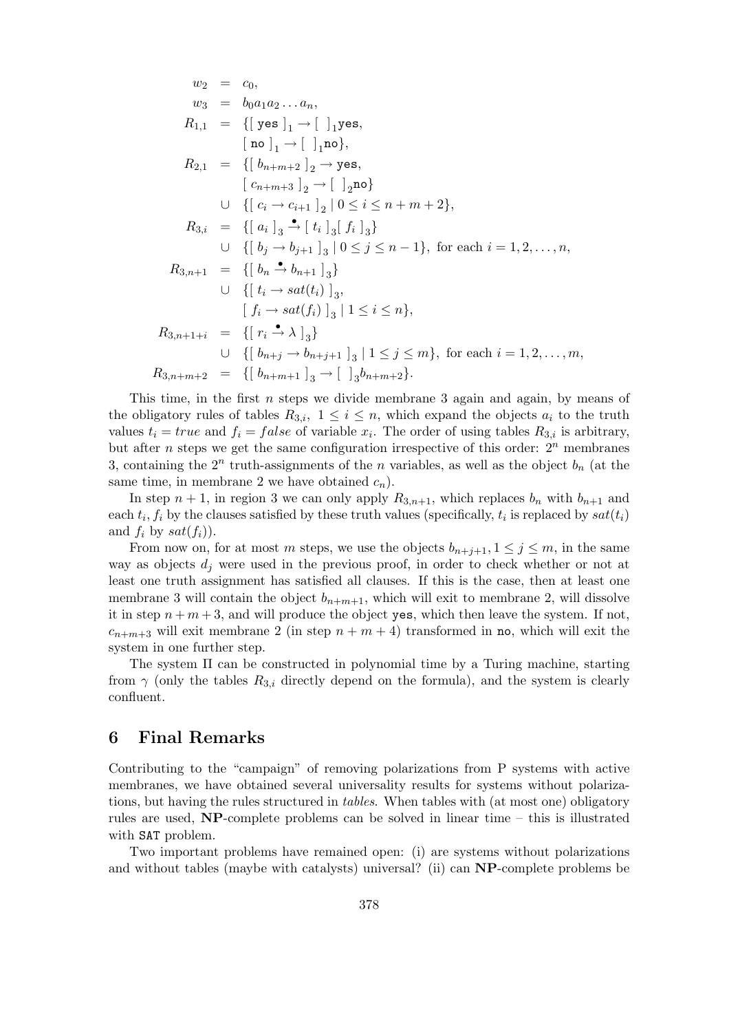$$
w_2 = c_0,
$$
  
\n
$$
w_3 = b_0 a_1 a_2 ... a_n,
$$
  
\n
$$
R_{1,1} = \{ [\text{ yes }]_1 \rightarrow [\text{ }]_1 \text{yes},
$$
  
\n
$$
[ \text{ no }]_1 \rightarrow [\text{ }]_1 \text{no} \},
$$
  
\n
$$
R_{2,1} = \{ [b_{n+m+2 }]_2 \rightarrow \text{yes},
$$
  
\n
$$
[ c_{n+m+3 }]_2 \rightarrow [\text{ }]_2 \text{no} \}
$$
  
\n
$$
\cup \{ [ c_i \rightarrow c_{i+1 }]_2 | 0 \le i \le n+m+2 \},
$$
  
\n
$$
R_{3,i} = \{ [ a_i ]_3 \stackrel{\bullet}{\rightarrow} [ t_i ]_3 [ f_i ]_3 \}
$$
  
\n
$$
\cup \{ [ b_j \rightarrow b_{j+1 }]_3 | 0 \le j \le n-1 \}, \text{ for each } i = 1, 2, ..., n,
$$
  
\n
$$
R_{3,n+1} = \{ [ b_n \stackrel{\bullet}{\rightarrow} b_{n+1 }]_3 \}
$$
  
\n
$$
\cup \{ [ t_i \rightarrow sat(t_i ) ]_3,
$$
  
\n
$$
[ f_i \rightarrow sat(t_i ) ]_3 | 1 \le i \le n \},
$$
  
\n
$$
R_{3,n+1+i} = \{ [ r_i \stackrel{\bullet}{\rightarrow} \lambda ]_3 \}
$$
  
\n
$$
\cup \{ [ b_{n+j} \rightarrow b_{n+j+1 }]_3 | 1 \le j \le m \}, \text{ for each } i = 1, 2, ..., m,
$$
  
\n
$$
R_{3,n+m+2} = \{ [ b_{n+m+1 }]_3 \rightarrow [ ]_3 b_{n+m+2 } \}.
$$

This time, in the first n steps we divide membrane 3 again and again, by means of the obligatory rules of tables  $R_{3,i}$ ,  $1 \leq i \leq n$ , which expand the objects  $a_i$  to the truth values  $t_i = true$  and  $f_i = false$  of variable  $x_i$ . The order of using tables  $R_{3,i}$  is arbitrary, but after *n* steps we get the same configuration irrespective of this order:  $2^n$  membranes 3, containing the  $2^n$  truth-assignments of the n variables, as well as the object  $b_n$  (at the same time, in membrane 2 we have obtained  $c_n$ ).

In step  $n + 1$ , in region 3 we can only apply  $R_{3,n+1}$ , which replaces  $b_n$  with  $b_{n+1}$  and each  $t_i, f_i$  by the clauses satisfied by these truth values (specifically,  $t_i$  is replaced by  $sat(t_i)$ ) and  $f_i$  by  $sat(f_i)$ ).

From now on, for at most m steps, we use the objects  $b_{n+j+1}$ ,  $1 \leq j \leq m$ , in the same way as objects  $d_i$  were used in the previous proof, in order to check whether or not at least one truth assignment has satisfied all clauses. If this is the case, then at least one membrane 3 will contain the object  $b_{n+m+1}$ , which will exit to membrane 2, will dissolve it in step  $n + m + 3$ , and will produce the object yes, which then leave the system. If not,  $c_{n+m+3}$  will exit membrane 2 (in step  $n + m + 4$ ) transformed in no, which will exit the system in one further step.

The system Π can be constructed in polynomial time by a Turing machine, starting from  $\gamma$  (only the tables  $R_{3,i}$  directly depend on the formula), and the system is clearly confluent.

### 6 Final Remarks

Contributing to the "campaign" of removing polarizations from P systems with active membranes, we have obtained several universality results for systems without polarizations, but having the rules structured in tables. When tables with (at most one) obligatory rules are used,  $NP$ -complete problems can be solved in linear time – this is illustrated with SAT problem.

Two important problems have remained open: (i) are systems without polarizations and without tables (maybe with catalysts) universal? (ii) can NP-complete problems be